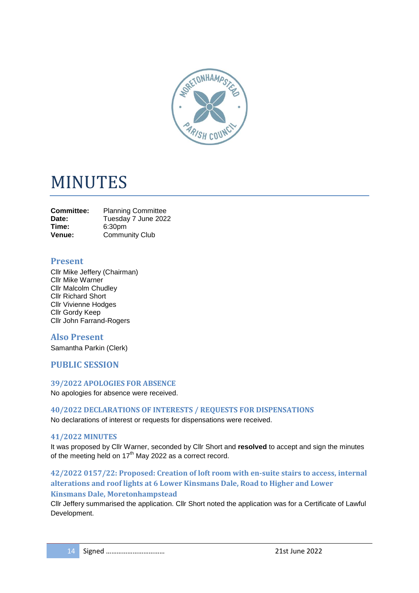

# MINUTES

| <b>Committee:</b> | <b>Planning Committee</b> |
|-------------------|---------------------------|
| Date:             | Tuesday 7 June 2022       |
| Time:             | 6:30 <sub>pm</sub>        |
| Venue:            | <b>Community Club</b>     |

## **Present**

Cllr Mike Jeffery (Chairman) Cllr Mike Warner Cllr Malcolm Chudley Cllr Richard Short Cllr Vivienne Hodges Cllr Gordy Keep Cllr John Farrand-Rogers

## **Also Present**

Samantha Parkin (Clerk)

## **PUBLIC SESSION**

#### **39/2022 APOLOGIES FOR ABSENCE**

No apologies for absence were received.

**40/2022 DECLARATIONS OF INTERESTS / REQUESTS FOR DISPENSATIONS** No declarations of interest or requests for dispensations were received.

#### **41/2022 MINUTES**

It was proposed by Cllr Warner, seconded by Cllr Short and **resolved** to accept and sign the minutes of the meeting held on  $17<sup>th</sup>$  May 2022 as a correct record.

**42/2022 0157/22: Proposed: Creation of loft room with en-suite stairs to access, internal alterations and roof lights at 6 Lower Kinsmans Dale, Road to Higher and Lower Kinsmans Dale, Moretonhampstead**

Cllr Jeffery summarised the application. Cllr Short noted the application was for a Certificate of Lawful Development.